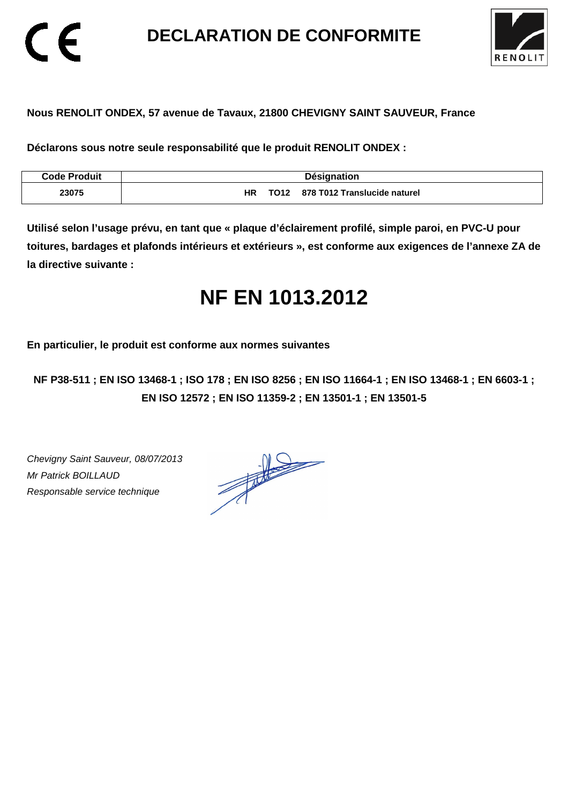**DECLARATION DE CONFORMITE** 



### **Nous RENOLIT ONDEX, 57 avenue de Tavaux, 21800 CHEVIGNY SAINT SAUVEUR, France**

**Déclarons sous notre seule responsabilité que le produit RENOLIT ONDEX :** 

| <b>Code Produit</b> | Désignation                                            |
|---------------------|--------------------------------------------------------|
| 23075               | НR<br>878 T012 Translucide naturel<br>TO <sub>12</sub> |

**Utilisé selon l'usage prévu, en tant que « plaque d'éclairement profilé, simple paroi, en PVC-U pour toitures, bardages et plafonds intérieurs et extérieurs », est conforme aux exigences de l'annexe ZA de la directive suivante :** 

# **NF EN 1013.2012**

**En particulier, le produit est conforme aux normes suivantes** 

**NF P38-511 ; EN ISO 13468-1 ; ISO 178 ; EN ISO 8256 ; EN ISO 11664-1 ; EN ISO 13468-1 ; EN 6603-1 ; EN ISO 12572 ; EN ISO 11359-2 ; EN 13501-1 ; EN 13501-5**

Chevigny Saint Sauveur, 08/07/2013 Mr Patrick BOILLAUD Responsable service technique

 $\epsilon$ 

 $\frac{1}{\sqrt{2}}$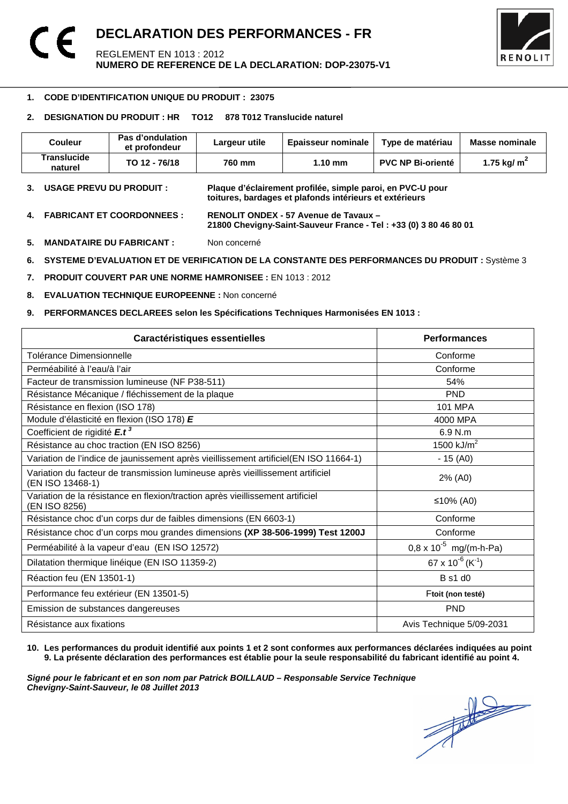

#### -**1. CODE D'IDENTIFICATION UNIQUE DU PRODUIT : 23075**

#### **2. DESIGNATION DU PRODUIT : HR TO12 878 T012 Translucide naturel**

| Couleur                       | Pas d'ondulation<br>et profondeur | Largeur utile | <b>Epaisseur nominale</b> | Type de matériau         | Masse nominale |
|-------------------------------|-----------------------------------|---------------|---------------------------|--------------------------|----------------|
| <b>Translucide</b><br>naturel | TO 12 - 76/18                     | 760 mm        | $1.10 \text{ mm}$         | <b>PVC NP Bi-orienté</b> | 1.75 kg/ $m2$  |

**3. USAGE PREVU DU PRODUIT : Plaque d'éclairement profilée, simple paroi, en PVC-U pour toitures, bardages et plafonds intérieurs et extérieurs** 

- **4. FABRICANT ET COORDONNEES : RENOLIT ONDEX 57 Avenue de Tavaux 21800 Chevigny-Saint-Sauveur France - Tel : +33 (0) 3 80 46 80 01**
- **5. MANDATAIRE DU FABRICANT :** Non concerné
- **6. SYSTEME D'EVALUATION ET DE VERIFICATION DE LA CONSTANTE DES PERFORMANCES DU PRODUIT :** Système 3
- **7. PRODUIT COUVERT PAR UNE NORME HAMRONISEE :** EN 1013 : 2012
- **8. EVALUATION TECHNIQUE EUROPEENNE :** Non concerné
- **9. PERFORMANCES DECLAREES selon les Spécifications Techniques Harmonisées EN 1013 :**

| Caractéristiques essentielles                                                                      | <b>Performances</b>                      |
|----------------------------------------------------------------------------------------------------|------------------------------------------|
| Tolérance Dimensionnelle                                                                           | Conforme                                 |
| Perméabilité à l'eau/à l'air                                                                       | Conforme                                 |
| Facteur de transmission lumineuse (NF P38-511)                                                     | 54%                                      |
| Résistance Mécanique / fléchissement de la plaque                                                  | <b>PND</b>                               |
| Résistance en flexion (ISO 178)                                                                    | <b>101 MPA</b>                           |
| Module d'élasticité en flexion (ISO 178) E                                                         | 4000 MPA                                 |
| Coefficient de rigidité E.t <sup>3</sup>                                                           | 6.9 N.m                                  |
| Résistance au choc traction (EN ISO 8256)                                                          | 1500 $kJ/m2$                             |
| Variation de l'indice de jaunissement après vieillissement artificiel(EN ISO 11664-1)              | $-15(40)$                                |
| Variation du facteur de transmission lumineuse après vieillissement artificiel<br>(EN ISO 13468-1) | 2% (A0)                                  |
| Variation de la résistance en flexion/traction après vieillissement artificiel<br>(EN ISO 8256)    | ≤10% (A0)                                |
| Résistance choc d'un corps dur de faibles dimensions (EN 6603-1)                                   | Conforme                                 |
| Résistance choc d'un corps mou grandes dimensions (XP 38-506-1999) Test 1200J                      | Conforme                                 |
| Perméabilité à la vapeur d'eau (EN ISO 12572)                                                      | $0.8 \times 10^{-5}$ mg/(m-h-Pa)         |
| Dilatation thermique linéique (EN ISO 11359-2)                                                     | 67 x 10 <sup>-6</sup> (K <sup>-1</sup> ) |
| Réaction feu (EN 13501-1)                                                                          | B s1 d0                                  |
| Performance feu extérieur (EN 13501-5)                                                             | Ftoit (non testé)                        |
| Emission de substances dangereuses                                                                 | <b>PND</b>                               |
| Résistance aux fixations                                                                           | Avis Technique 5/09-2031                 |

#### **10. Les performances du produit identifié aux points 1 et 2 sont conformes aux performances déclarées indiquées au point 9. La présente déclaration des performances est établie pour la seule responsabilité du fabricant identifié au point 4.**

Signé pour le fabricant et en son nom par Patrick BOILLAUD – Responsable Service Technique<br>Chevigny-Saint-Sauveur, le 08 Juillet 2013<br> **Chevigny-Saint-Sauveur, le 08 Juillet 2013 Chevigny-Saint-Sauveur, le 08 Juillet 2013**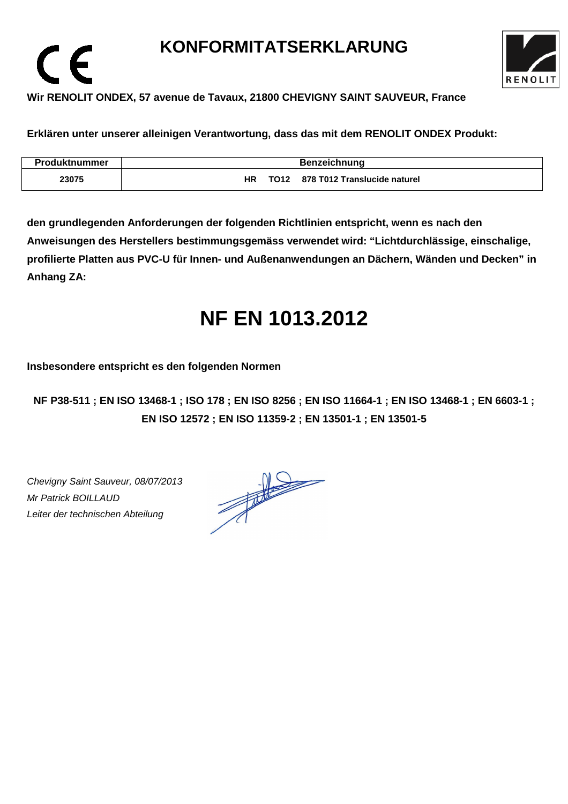# **KONFORMITATSERKLARUNG**



### **Wir RENOLIT ONDEX, 57 avenue de Tavaux, 21800 CHEVIGNY SAINT SAUVEUR, France**

**Erklären unter unserer alleinigen Verantwortung, dass das mit dem RENOLIT ONDEX Produkt:** 

| Produktnummer | <b>Benzeichnung</b>                                    |  |  |
|---------------|--------------------------------------------------------|--|--|
| 23075         | 878 T012 Translucide naturel<br>HR<br>TO <sub>12</sub> |  |  |

**den grundlegenden Anforderungen der folgenden Richtlinien entspricht, wenn es nach den Anweisungen des Herstellers bestimmungsgemäss verwendet wird: "Lichtdurchlässige, einschalige, profilierte Platten aus PVC-U für Innen- und Außenanwendungen an Dächern, Wänden und Decken" in Anhang ZA:** 

# **NF EN 1013.2012**

**Insbesondere entspricht es den folgenden Normen** 

**NF P38-511 ; EN ISO 13468-1 ; ISO 178 ; EN ISO 8256 ; EN ISO 11664-1 ; EN ISO 13468-1 ; EN 6603-1 ; EN ISO 12572 ; EN ISO 11359-2 ; EN 13501-1 ; EN 13501-5**

Chevigny Saint Sauveur, 08/07/2013 Mr Patrick BOILLAUD Leiter der technischen Abteilung

 $\epsilon$ 

 $\frac{1}{\sqrt{2}}$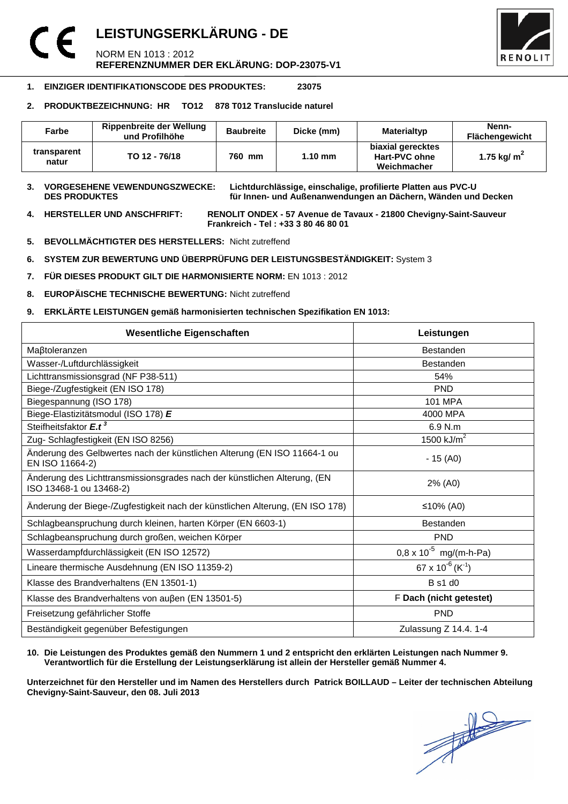### **LEISTUNGSERKLÄRUNG - DE**  NORM EN 1013 : 2012 **REFERENZNUMMER DER EKLÄRUNG: DOP-23075-V1**



#### **1. EINZIGER IDENTIFIKATIONSCODE DES PRODUKTES: 23075**

#### **2. PRODUKTBEZEICHNUNG: HR TO12 878 T012 Translucide naturel**

| Farbe                | Rippenbreite der Wellung<br>und Profilhöhe | <b>Baubreite</b> | Dicke (mm) | <b>Materialtyp</b>                                | Nenn-<br><b>Flächengewicht</b> |
|----------------------|--------------------------------------------|------------------|------------|---------------------------------------------------|--------------------------------|
| transparent<br>natur | TO 12 - 76/18                              | 760 mm           | $1.10$ mm  | biaxial gerecktes<br>Hart-PVC ohne<br>Weichmacher | 1.75 kg/ $m2$                  |

**3. VORGESEHENE VEWENDUNGSZWECKE: Lichtdurchlässige, einschalige, profilierte Platten aus PVC-U**  für Innen- und Außenanwendungen an Dächern, Wänden und Decken

**4. HERSTELLER UND ANSCHFRIFT: RENOLIT ONDEX - 57 Avenue de Tavaux - 21800 Chevigny-Saint-Sauveur Frankreich - Tel : +33 3 80 46 80 01** 

- **5. BEVOLLMÄCHTIGTER DES HERSTELLERS:** Nicht zutreffend
- **6. SYSTEM ZUR BEWERTUNG UND ÜBERPRÜFUNG DER LEISTUNGSBESTÄNDIGKEIT:** System 3
- **7. FÜR DIESES PRODUKT GILT DIE HARMONISIERTE NORM:** EN 1013 : 2012
- **8. EUROPÄISCHE TECHNISCHE BEWERTUNG:** Nicht zutreffend
- **9. ERKLÄRTE LEISTUNGEN gemäß harmonisierten technischen Spezifikation EN 1013:**

| <b>Wesentliche Eigenschaften</b>                                                                    | Leistungen                             |  |
|-----------------------------------------------------------------------------------------------------|----------------------------------------|--|
| Maßtoleranzen                                                                                       | <b>Bestanden</b>                       |  |
| Wasser-/Luftdurchlässigkeit                                                                         | <b>Bestanden</b>                       |  |
| Lichttransmissionsgrad (NF P38-511)                                                                 | 54%                                    |  |
| Biege-/Zugfestigkeit (EN ISO 178)                                                                   | <b>PND</b>                             |  |
| Biegespannung (ISO 178)                                                                             | <b>101 MPA</b>                         |  |
| Biege-Elastizitätsmodul (ISO 178) E                                                                 | 4000 MPA                               |  |
| Steifheitsfaktor E.t <sup>3</sup>                                                                   | 6.9 N.m                                |  |
| Zug- Schlagfestigkeit (EN ISO 8256)                                                                 | 1500 $kJ/m2$                           |  |
| Änderung des Gelbwertes nach der künstlichen Alterung (EN ISO 11664-1 ou<br>EN ISO 11664-2)         | $-15(40)$                              |  |
| Änderung des Lichttransmissionsgrades nach der künstlichen Alterung, (EN<br>ISO 13468-1 ou 13468-2) | 2% (A0)                                |  |
| Änderung der Biege-/Zugfestigkeit nach der künstlichen Alterung, (EN ISO 178)                       | ≤10% (A0)                              |  |
| Schlagbeanspruchung durch kleinen, harten Körper (EN 6603-1)                                        | <b>Bestanden</b>                       |  |
| Schlagbeanspruchung durch großen, weichen Körper                                                    | <b>PND</b>                             |  |
| Wasserdampfdurchlässigkeit (EN ISO 12572)                                                           | $0.8 \times 10^{-5}$ mg/(m-h-Pa)       |  |
| Lineare thermische Ausdehnung (EN ISO 11359-2)                                                      | $67 \times 10^{-6}$ (K <sup>-1</sup> ) |  |
| Klasse des Brandverhaltens (EN 13501-1)                                                             | <b>B</b> s1 d0                         |  |
| Klasse des Brandverhaltens von außen (EN 13501-5)                                                   | F Dach (nicht getestet)                |  |
| Freisetzung gefährlicher Stoffe                                                                     | <b>PND</b>                             |  |
| Beständigkeit gegenüber Befestigungen                                                               | Zulassung Z 14.4. 1-4                  |  |

#### **10. Die Leistungen des Produktes gemäß den Nummern 1 und 2 entspricht den erklärten Leistungen nach Nummer 9. Verantwortlich für die Erstellung der Leistungserklärung ist allein der Hersteller gemäß Nummer 4.**

**Unterzeichnet für den Hersteller und im Namen des Herstellers durch Patrick BOILLAUD – Leiter der technischen Abteilung Chevigny-Saint-Sauveur, den 08. Juli 2013**

 $\frac{1}{\sqrt{2}}$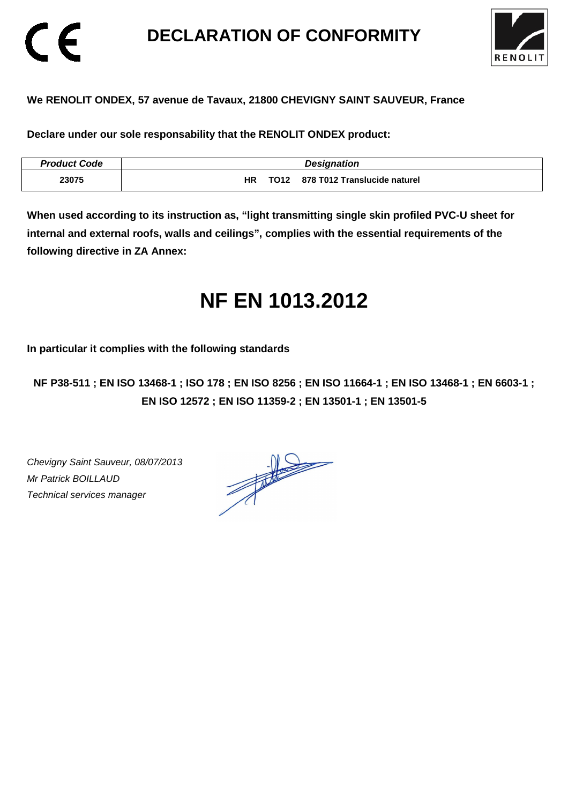# **DECLARATION OF CONFORMITY**



### **We RENOLIT ONDEX, 57 avenue de Tavaux, 21800 CHEVIGNY SAINT SAUVEUR, France**

**Declare under our sole responsability that the RENOLIT ONDEX product:** 

| <b>Product Code</b> | <b>Designation</b>                          |
|---------------------|---------------------------------------------|
| 23075               | 878 T012 Translucide naturel<br>TO12<br>HR. |

**When used according to its instruction as, "light transmitting single skin profiled PVC-U sheet for internal and external roofs, walls and ceilings", complies with the essential requirements of the following directive in ZA Annex:** 

# **NF EN 1013.2012**

**In particular it complies with the following standards** 

**NF P38-511 ; EN ISO 13468-1 ; ISO 178 ; EN ISO 8256 ; EN ISO 11664-1 ; EN ISO 13468-1 ; EN 6603-1 ; EN ISO 12572 ; EN ISO 11359-2 ; EN 13501-1 ; EN 13501-5**

Chevigny Saint Sauveur, 08/07/2013 Mr Patrick BOILLAUD Technical services manager

CE

 $\frac{1}{\sqrt{2}}$